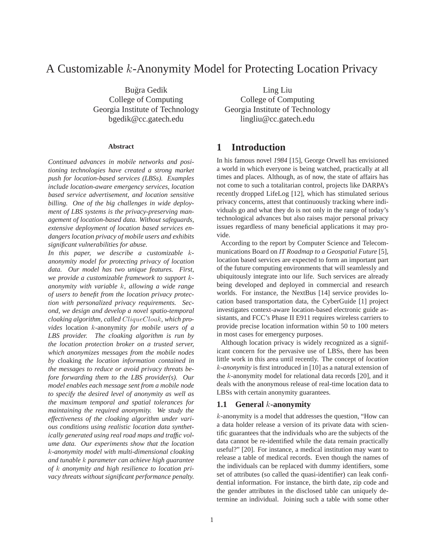# A Customizable *k*-Anonymity Model for Protecting Location Privacy

Bugra Gedik ˘ College of Computing Georgia Institute of Technology bgedik@cc.gatech.edu

#### **Abstract**

*Continued advances in mobile networks and positioning technologies have created a strong market push for location-based services (LBSs). Examples include location-aware emergency services, location based service advertisement, and location sensitive billing. One of the big challenges in wide deployment of LBS systems is the privacy-preserving management of location-based data. Without safeguards, extensive deployment of location based services endangers location privacy of mobile users and exhibits significant vulnerabilities for abuse.*

*In this paper, we describe a customizable* k*anonymity model for protecting privacy of location data. Our model has two unique features. First, we provide a customizable framework to support* k*anonymity with variable* k*, allowing a wide range of users to benefit from the location privacy protection with personalized privacy requirements. Second, we design and develop a novel spatio-temporal cloaking algorithm, called* CliqueCloak*, which provides* location k-anonymity *for mobile users of a LBS provider. The cloaking algorithm is run by the location protection broker on a trusted server, which anonymizes messages from the mobile nodes by* cloaking *the location information contained in the messages to reduce or avoid privacy threats before forwarding them to the LBS provider(s). Our model enables each message sent from a mobile node to specify the desired level of anonymity as well as the maximum temporal and spatial tolerances for maintaining the required anonymity. We study the effectiveness of the cloaking algorithm under various conditions using realistic location data synthetically generated using real road maps and traffic volume data. Our experiments show that the location* k*-anonymity model with multi-dimensional cloaking and tunable* k *parameter can achieve high guarantee of* k *anonymity and high resilience to location privacy threats without significant performance penalty.*

Ling Liu College of Computing Georgia Institute of Technology lingliu@cc.gatech.edu

### **1 Introduction**

In his famous novel *1984* [15], George Orwell has envisioned a world in which everyone is being watched, practically at all times and places. Although, as of now, the state of affairs has not come to such a totalitarian control, projects like DARPA's recently dropped LifeLog [12], which has stimulated serious privacy concerns, attest that continuously tracking where individuals go and what they do is not only in the range of today's technological advances but also raises major personal privacy issues regardless of many beneficial applications it may provide.

According to the report by Computer Science and Telecommunications Board on *IT Roadmap to a Geospatial Future* [5], location based services are expected to form an important part of the future computing environments that will seamlessly and ubiquitously integrate into our life. Such services are already being developed and deployed in commercial and research worlds. For instance, the NextBus [14] service provides location based transportation data, the CyberGuide [1] project investigates context-aware location-based electronic guide assistants, and FCC's Phase II E911 requires wireless carriers to provide precise location information within 50 to 100 meters in most cases for emergency purposes.

Although location privacy is widely recognized as a significant concern for the pervasive use of LBSs, there has been little work in this area until recently. The concept of *location* k*-anonymity* is first introduced in [10] as a natural extension of the k-anonymity model for relational data records [20], and it deals with the anonymous release of real-time location data to LBSs with certain anonymity guarantees.

#### **1.1 General** *k***-anonymity**

k-anonymity is a model that addresses the question, "How can a data holder release a version of its private data with scientific guarantees that the individuals who are the subjects of the data cannot be re-identified while the data remain practically useful?" [20]. For instance, a medical institution may want to release a table of medical records. Even though the names of the individuals can be replaced with dummy identifiers, some set of attributes (so called the quasi-identifier) can leak confidential information. For instance, the birth date, zip code and the gender attributes in the disclosed table can uniquely determine an individual. Joining such a table with some other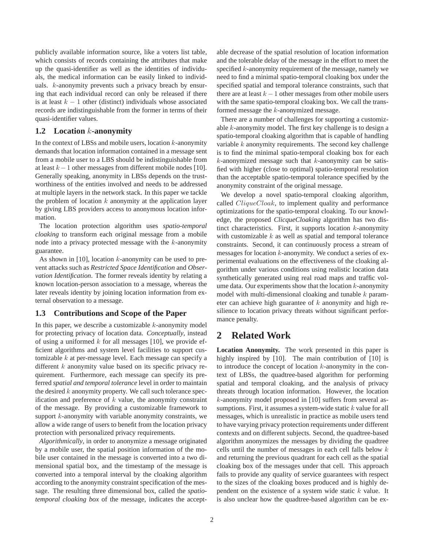publicly available information source, like a voters list table, which consists of records containing the attributes that make up the quasi-identifier as well as the identities of individuals, the medical information can be easily linked to individuals. k-anonymity prevents such a privacy breach by ensuring that each individual record can only be released if there is at least  $k - 1$  other (distinct) individuals whose associated records are indistinguishable from the former in terms of their quasi-identifier values.

#### **1.2 Location** *k***-anonymity**

In the context of LBSs and mobile users, location  $k$ -anonymity demands that location information contained in a message sent from a mobile user to a LBS should be indistinguishable from at least  $k - 1$  other messages from different mobile nodes [10]. Generally speaking, anonymity in LBSs depends on the trustworthiness of the entities involved and needs to be addressed at multiple layers in the network stack. In this paper we tackle the problem of location  $k$  anonymity at the application layer by giving LBS providers access to anonymous location information.

The location protection algorithm uses *spatio-temporal cloaking* to transform each original message from a mobile node into a privacy protected message with the  $k$ -anonymity guarantee.

As shown in  $[10]$ , location  $k$ -anonymity can be used to prevent attacks such as *Restricted Space Identification* and *Observation Identification*. The former reveals identity by relating a known location-person association to a message, whereas the later reveals identity by joining location information from external observation to a message.

### **1.3 Contributions and Scope of the Paper**

In this paper, we describe a customizable  $k$ -anonymity model for protecting privacy of location data. *Conceptually*, instead of using a uniformed  $k$  for all messages [10], we provide efficient algorithms and system level facilities to support customizable  $k$  at per-message level. Each message can specify a different  $k$  anonymity value based on its specific privacy requirement. Furthermore, each message can specify its preferred *spatial and temporal tolerance* level in order to maintain the desired  $k$  anonymity property. We call such tolerance specification and preference of  $k$  value, the anonymity constraint of the message. By providing a customizable framework to support  $k$ -anonymity with variable anonymity constraints, we allow a wide range of users to benefit from the location privacy protection with personalized privacy requirements.

*Algorithmically*, in order to anonymize a message originated by a mobile user, the spatial position information of the mobile user contained in the message is converted into a two dimensional spatial box, and the timestamp of the message is converted into a temporal interval by the cloaking algorithm according to the anonymity constraint specification of the message. The resulting three dimensional box, called the *spatiotemporal cloaking box* of the message, indicates the acceptable decrease of the spatial resolution of location information and the tolerable delay of the message in the effort to meet the specified k-anonymity requirement of the message, namely we need to find a minimal spatio-temporal cloaking box under the specified spatial and temporal tolerance constraints, such that there are at least  $k - 1$  other messages from other mobile users with the same spatio-temporal cloaking box. We call the transformed message the k-anonymized message.

There are a number of challenges for supporting a customizable k-anonymity model. The first key challenge is to design a spatio-temporal cloaking algorithm that is capable of handling variable  $k$  anonymity requirements. The second key challenge is to find the minimal spatio-temporal cloaking box for each  $k$ -anonymized message such that  $k$ -anonymity can be satisfied with higher (close to optimal) spatio-temporal resolution than the acceptable spatio-temporal tolerance specified by the anonymity constraint of the original message.

We develop a novel spatio-temporal cloaking algorithm, called CliqueCloak, to implement quality and performance optimizations for the spatio-temporal cloaking. To our knowledge, the proposed *ClicqueCloaking* algorithm has two distinct characteristics. First, it supports location  $k$ -anonymity with customizable  $k$  as well as spatial and temporal tolerance constraints. Second, it can continuously process a stream of messages for location k-anonymity. We conduct a series of experimental evaluations on the effectiveness of the cloaking algorithm under various conditions using realistic location data synthetically generated using real road maps and traffic volume data. Our experiments show that the location  $k$ -anonymity model with multi-dimensional cloaking and tunable  $k$  parameter can achieve high guarantee of  $k$  anonymity and high resilience to location privacy threats without significant performance penalty.

## **2 Related Work**

**Location Anonymity.** The work presented in this paper is highly inspired by [10]. The main contribution of [10] is to introduce the concept of location  $k$ -anonymity in the context of LBSs, the quadtree-based algorithm for performing spatial and temporal cloaking, and the analysis of privacy threats through location information. However, the location k-anonymity model proposed in [10] suffers from several assumptions. First, it assumes a system-wide static  $k$  value for all messages, which is unrealistic in practice as mobile users tend to have varying privacy protection requirements under different contexts and on different subjects. Second, the quadtree-based algorithm anonymizes the messages by dividing the quadtree cells until the number of messages in each cell falls below k and returning the previous quadrant for each cell as the spatial cloaking box of the messages under that cell. This approach fails to provide any quality of service guarantees with respect to the sizes of the cloaking boxes produced and is highly dependent on the existence of a system wide static  $k$  value. It is also unclear how the quadtree-based algorithm can be ex-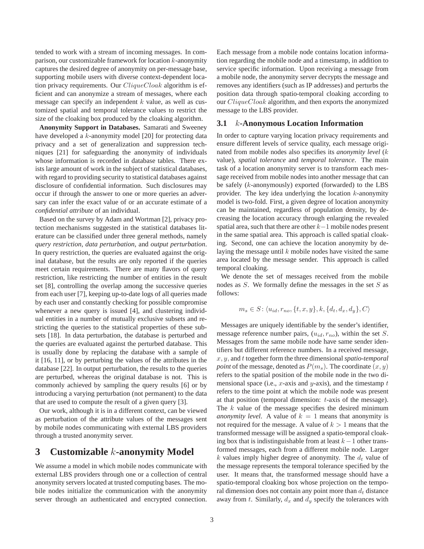tended to work with a stream of incoming messages. In comparison, our customizable framework for location  $k$ -anonymity captures the desired degree of anonymity on per-message base, supporting mobile users with diverse context-dependent location privacy requirements. Our  $CliqueClock$  algorithm is efficient and can anonymize a stream of messages, where each message can specify an independent  $k$  value, as well as customized spatial and temporal tolerance values to restrict the size of the cloaking box produced by the cloaking algorithm.

**Anonymity Support in Databases.** Samarati and Sweeney have developed a k-anonymity model [20] for protecting data privacy and a set of generalization and suppression techniques [21] for safeguarding the anonymity of individuals whose information is recorded in database tables. There exists large amount of work in the subject of statistical databases, with regard to providing security to statistical databases against disclosure of confidential information. Such disclosures may occur if through the answer to one or more queries an adversary can infer the exact value of or an accurate estimate of a *confidential attribute* of an individual.

Based on the survey by Adam and Wortman [2], privacy protection mechanisms suggested in the statistical databases literature can be classified under three general methods, namely *query restriction*, *data perturbation*, and *output perturbation*. In query restriction, the queries are evaluated against the original database, but the results are only reported if the queries meet certain requirements. There are many flavors of query restriction, like restricting the number of entities in the result set [8], controlling the overlap among the successive queries from each user [7], keeping up-to-date logs of all queries made by each user and constantly checking for possible compromise whenever a new query is issued [4], and clustering individual entities in a number of mutually exclusive subsets and restricting the queries to the statistical properties of these subsets [18]. In data perturbation, the database is perturbed and the queries are evaluated against the perturbed database. This is usually done by replacing the database with a sample of it [16, 11], or by perturbing the values of the attributes in the database [22]. In output perturbation, the results to the queries are perturbed, whereas the original database is not. This is commonly achieved by sampling the query results [6] or by introducing a varying perturbation (not permanent) to the data that are used to compute the result of a given query [3].

Our work, although it is in a different context, can be viewed as perturbation of the attribute values of the messages sent by mobile nodes communicating with external LBS providers through a trusted anonymity server.

### **3 Customizable** *k***-anonymity Model**

We assume a model in which mobile nodes communicate with external LBS providers through one or a collection of central anonymity servers located at trusted computing bases. The mobile nodes initialize the communication with the anonymity server through an authenticated and encrypted connection.

Each message from a mobile node contains location information regarding the mobile node and a timestamp, in addition to service specific information. Upon receiving a message from a mobile node, the anonymity server decrypts the message and removes any identifiers (such as IP addresses) and perturbs the position data through spatio-temporal cloaking according to our CliqueCloak algorithm, and then exports the anonymized message to the LBS provider.

#### **3.1** *k***-Anonymous Location Information**

In order to capture varying location privacy requirements and ensure different levels of service quality, each message originated from mobile nodes also specifies its *anonymity level* (k value), *spatial tolerance* and *temporal tolerance*. The main task of a location anonymity server is to transform each message received from mobile nodes into another message that can be safely (k-anonymously) exported (forwarded) to the LBS provider. The key idea underlying the location  $k$ -anonymity model is two-fold. First, a given degree of location anonymity can be maintained, regardless of population density, by decreasing the location accuracy through enlarging the revealed spatial area, such that there are other  $k-1$  mobile nodes present in the same spatial area. This approach is called spatial cloaking. Second, one can achieve the location anonymity by delaying the message until  $k$  mobile nodes have visited the same area located by the message sender. This approach is called temporal cloaking.

We denote the set of messages received from the mobile nodes as  $S$ . We formally define the messages in the set  $S$  as follows:

$$
m_s \in S: \langle u_{id}, r_{no}, \{t, x, y\}, k, \{d_t, d_x, d_y\}, C \rangle
$$

Messages are uniquely identifiable by the sender's identifier, message reference number pairs, (u*id*, r*no*), within the set S. Messages from the same mobile node have same sender identifiers but different reference numbers. In a received message, x, y, and t together form the three dimensional *spatio-temporal point* of the message, denoted as  $P(m_s)$ . The coordinate  $(x, y)$ refers to the spatial position of the mobile node in the two dimensional space (i.e., x-axis and y-axis), and the timestamp  $t$ refers to the time point at which the mobile node was present at that position (temporal dimension: t-axis of the message). The  $k$  value of the message specifies the desired minimum *anonymity level.* A value of  $k = 1$  means that anonymity is not required for the message. A value of  $k > 1$  means that the transformed message will be assigned a spatio-temporal cloaking box that is indistinguishable from at least  $k-1$  other transformed messages, each from a different mobile node. Larger  $k$  values imply higher degree of anonymity. The  $d_t$  value of the message represents the temporal tolerance specified by the user. It means that, the transformed message should have a spatio-temporal cloaking box whose projection on the temporal dimension does not contain any point more than  $d_t$  distance away from t. Similarly,  $d_x$  and  $d_y$  specify the tolerances with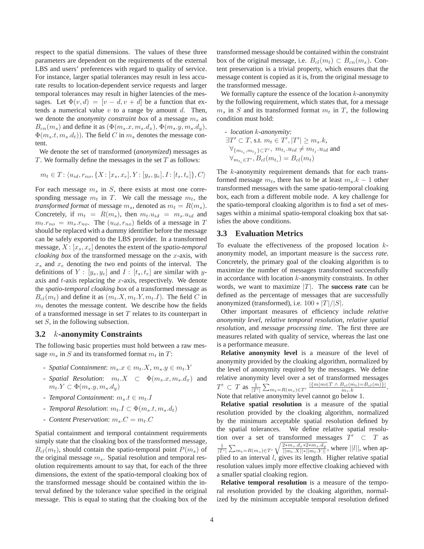respect to the spatial dimensions. The values of these three parameters are dependent on the requirements of the external LBS and users' preferences with regard to quality of service. For instance, larger spatial tolerances may result in less accurate results to location-dependent service requests and larger temporal tolerances may result in higher latencies of the messages. Let  $\Phi(v, d) = [v - d, v + d]$  be a function that extends a numerical value  $v$  to a range by amount  $d$ . Then, we denote the *anonymity constraint box* of a message m*<sup>s</sup>* as  $B_{cn}(m_s)$  and define it as  $(\Phi(m_s.x, m_s.d_x), \Phi(m_s.y, m_s.d_y),$  $\Phi(m_s.t, m_s.d_t)$ ). The field C in  $m_s$  denotes the message content.

We denote the set of transformed (*anonymized*) messages as  $T$ . We formally define the messages in the set  $T$  as follows:

$$
m_t \in T: \langle u_{id}, r_{no}, \{X : [x_s, x_e], Y : [y_s, y_e], I : [t_s, t_e] \}, C \rangle
$$

For each message  $m<sub>s</sub>$  in S, there exists at most one corresponding message  $m_t$  in T. We call the message  $m_t$ , the *transformed format* of message  $m_s$ , denoted as  $m_t = R(m_s)$ . Concretely, if  $m_t = R(m_s)$ , then  $m_t.u_{id} = m_s.u_{id}$  and  $m_t.r_{no} = m_s.r_{no}.$  The  $(u_{id}, r_{no})$  fields of a message in T should be replaced with a dummy identifier before the message can be safely exported to the LBS provider. In a transformed message, X : [x*s*, x*e*] denotes the extent of the *spatio-temporal cloaking box* of the transformed message on the x-axis, with  $x_s$  and  $x_e$  denoting the two end points of the interval. The definitions of  $Y : [y_s, y_e]$  and  $I : [t_s, t_e]$  are similar with yaxis and  $t$ -axis replacing the  $x$ -axis, respectively. We denote the *spatio-temporal cloaking box* of a transformed message as  $B_{cl}(m_t)$  and define it as  $(m_t.X, m_t.Y, m_t.I)$ . The field C in  $m<sub>t</sub>$  denotes the message content. We describe how the fields of a transformed message in set  $T$  relates to its counterpart in set S, in the following subsection.

#### **3.2** *k***-anonymity Constraints**

The following basic properties must hold between a raw message  $m_s$  in S and its transformed format  $m_t$  in T:

- *Spatial Containment*:  $m_s \, x \in m_t \, X, m_s \, y \in m_t \, Y$
- *Spatial Resolution*:  $m_t$ . $X \subset \Phi(m_s.x, m_s.d_x)$  and  $m_t.Y \subset \Phi(m_s.y, m_s.d_y)$
- *Temporal Containment*:  $m_s.t \in m_t.I$
- *Temporal Resolution*: m*t*.I ⊂ Φ(m*s*.t, m*s*.d*t*)
- *Content Preservation*:  $m_s.C = m_t.C$

Spatial containment and temporal containment requirements simply state that the cloaking box of the transformed message,  $B_{cl}(m_t)$ , should contain the spatio-temporal point  $P(m_s)$  of the original message m*s*. Spatial resolution and temporal resolution requirements amount to say that, for each of the three dimensions, the extent of the spatio-temporal cloaking box of the transformed message should be contained within the interval defined by the tolerance value specified in the original message. This is equal to stating that the cloaking box of the transformed message should be contained within the constraint box of the original message, i.e.  $B_{cl}(m_t) \subset B_{cn}(m_s)$ . Content preservation is a trivial property, which ensures that the message content is copied as it is, from the original message to the transformed message.

We formally capture the essence of the location  $k$ -anonymity by the following requirement, which states that, for a message  $m<sub>s</sub>$  in S and its transformed format  $m<sub>t</sub>$  in T, the following condition must hold:

- *location k-anonymity*:  
\n
$$
\exists T' \subset T, \text{ s.t. } m_t \in T', |T'| \geq m_s.k,
$$
\n
$$
\forall_{\{m_{t_i}, m_{t_j}\} \subset T'}, m_{t_i}.u_{id} \neq m_{t_j}.u_{id} \text{ and }
$$
\n
$$
\forall_{m_{t_i} \in T'}, B_{cl}(m_{t_i}) = B_{cl}(m_t)
$$

The k-anonymity requirement demands that for each transformed message  $m_t$ , there has to be at least  $m_s$ . $k-1$  other transformed messages with the same spatio-temporal cloaking box, each from a different mobile node. A key challenge for the spatio-temporal cloaking algorithm is to find a set of messages within a minimal spatio-temporal cloaking box that satisfies the above conditions.

#### **3.3 Evaluation Metrics**

To evaluate the effectiveness of the proposed location  $k$ anonymity model, an important measure is the *success rate*. Concretely, the primary goal of the cloaking algorithm is to maximize the number of messages transformed successfully in accordance with location  $k$ -anonymity constraints. In other words, we want to maximize  $|T|$ . The **success rate** can be defined as the percentage of messages that are successfully anonymized (transformed), i.e.  $100 * |T|/|S|$ .

Other important measures of efficiency include *relative anonymity level*, *relative temporal resolution*, *relative spatial resolution*, and *message processing time*. The first three are measures related with quality of service, whereas the last one is a performance measure.

**Relative anonymity level** is a measure of the level of anonymity provided by the cloaking algorithm, normalized by the level of anonymity required by the messages. We define relative anonymity level over a set of transformed messages  $T' \subset T$  as  $\frac{1}{|T'|} \sum_{m_t=R(m_s)\in T'} \frac{|\{m|m\in T \wedge B_{cl}(m_t)=B_{cl}(m)\}|}{m_s.k}.$ Note that relative anonymity level cannot go below 1.

**Relative spatial resolution** is a measure of the spatial resolution provided by the cloaking algorithm, normalized by the minimum acceptable spatial resolution defined by the spatial tolerances. We define relative spatial resolution over a set of transformed messages  $T' \subset T$  as  $\frac{1}{|T'|}\sum_{m_t=R(m_s)\in T'}\sqrt{\frac{2*m_s.d_x*2*m_s.d_y}{||m_t.X||*||m_t.Y||}}$ , where  $||l||$ , when applied to an interval l, gives its length. Higher relative spatial resolution values imply more effective cloaking achieved with a smaller spatial cloaking region.

**Relative temporal resolution** is a measure of the temporal resolution provided by the cloaking algorithm, normalized by the minimum acceptable temporal resolution defined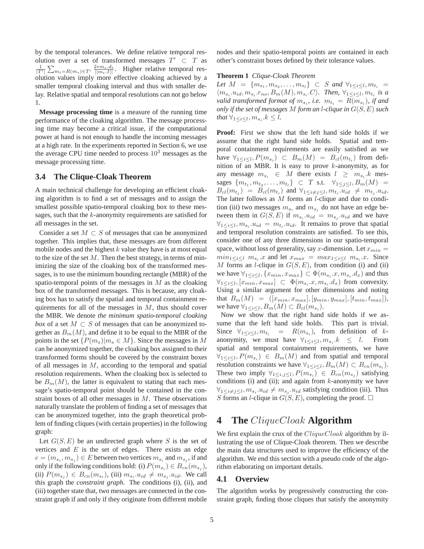by the temporal tolerances. We define relative temporal resolution over a set of transformed messages  $T' \subset T$  as  $\frac{1}{|T'|}$   $\sum_{m_t=R(m_s)\in T'} \frac{2*m_s.d_t}{||m_t.I||}$ . Higher relative temporal resolution values imply more effective cloaking achieved by a smaller temporal cloaking interval and thus with smaller delay. Relative spatial and temporal resolutions can not go below 1.

**Message processing time** is a measure of the running time performance of the cloaking algorithm. The message processing time may become a critical issue, if the computational power at hand is not enough to handle the incoming messages at a high rate. In the experiments reported in Section 6, we use the average CPU time needed to process  $10<sup>3</sup>$  messages as the message processing time.

#### **3.4 The Clique-Cloak Theorem**

A main technical challenge for developing an efficient cloaking algorithm is to find a set of messages and to assign the smallest possible spatio-temporal cloaking box to these messages, such that the  $k$ -anonymity requirements are satisfied for all messages in the set.

Consider a set  $M \subset S$  of messages that can be anonymized together. This implies that, these messages are from different mobile nodes and the highest  $k$  value they have is at most equal to the size of the set  $M$ . Then the best strategy, in terms of minimizing the size of the cloaking box of the transformed messages, is to use the minimum bounding rectangle (MBR) of the spatio-temporal points of the messages in  $M$  as the cloaking box of the transformed messages. This is because, any cloaking box has to satisfy the spatial and temporal containment requirements for all of the messages in  $M$ , thus should cover the MBR. We denote *the minimum spatio-temporal cloaking box* of a set  $M \subset S$  of messages that can be anonymized together as  $B_m(M)$ , and define it to be equal to the MBR of the points in the set  $\{P(m_s)|m_s \in M\}$ . Since the messages in M can be anonymized together, the cloaking box assigned to their transformed forms should be covered by the constraint boxes of all messages in  $M$ , according to the temporal and spatial resolution requirements. When the cloaking box is selected to be  $B_m(M)$ , the latter is equivalent to stating that each message's spatio-temporal point should be contained in the constraint boxes of all other messages in  $M$ . These observations naturally translate the problem of finding a set of messages that can be anonymized together, into the graph theoretical problem of finding cliques (with certain properties) in the following graph:

Let  $G(S, E)$  be an undirected graph where S is the set of vertices and  $E$  is the set of edges. There exists an edge  $e = (m_{s_i}, m_{s_i}) \in E$  between two vertices  $m_{s_i}$  and  $m_{s_i}$ , if and only if the following conditions hold: (i)  $P(m_{s_i}) \in B_{cn}(m_{s_i})$ , (ii)  $P(m_{s_i}) \in B_{cn}(m_{s_i})$ , (iii)  $m_{s_i}.u_{id} \neq m_{s_i}.u_{id}$ . We call this graph the *constraint graph*. The conditions (i), (ii), and (iii) together state that, two messages are connected in the constraint graph if and only if they originate from different mobile

nodes and their spatio-temporal points are contained in each other's constraint boxes defined by their tolerance values.

#### **Theorem 1** *Clique-Cloak Theorem*

*Let*  $M = \{m_{s_1}, m_{s_2}, \ldots, m_{s_l}\} \subset S$  *and*  $\forall_{1 \leq i \leq l}, m_{t_i} =$  $\langle m_{s_i}.u_{id}, m_{s_i}.r_{no}, B_m(M), m_{s_i}.C \rangle$ . Then,  $\forall_{1 \leq i \leq l}, m_{t_i}$  is a *valid transformed format of*  $m_{s_i}$ , *i.e.*  $m_{t_i} = R(m_{s_i})$ , *if and only if the set of messages* M *form an* l*-clique in* G(S, E) *such that*  $\forall_{1 \leq i \leq l}, m_{s_i}.k \leq l$ .

**Proof:** First we show that the left hand side holds if we assume that the right hand side holds. Spatial and temporal containment requirements are easily satisfied as we have  $\forall_{1 \leq i \leq l}, P(m_{s_i}) \subset B_m(M) = B_{cl}(m_{t_i})$  from definition of an MBR. It is easy to prove  $k$ -anonymity, as for any message  $m_{s_i} \in M$  there exists  $l \geq m_{s_i} \cdot k$  mes- ${\rm stages} \{m_{t_1}, m_{t_2}, \ldots, m_{t_l}\} \subset T \text{ s.t. } \forall_{1 \leq j \leq l}, B_m(M) =$  $B_{cl}(m_{t_i}) = B_{cl}(m_{t_i})$  and  $\forall_{1 \leq i \neq j \leq l}, m_{t_i}.u_{id} \neq m_{t_i}.u_{id}.$ The latter follows as  $M$  forms an *l*-clique and due to condition (iii) two messages  $m_{s_i}$  and  $m_{s_i}$  do not have an edge between them in  $G(S, E)$  if  $m_{s_i}.u_{id} = m_{s_i}.u_{id}$  and we have  $\forall_{1 \leq i \leq l}, m_{s_i}.u_{id} = m_{t_i}.u_{id}$ . It remains to prove that spatial and temporal resolution constraints are satisfied. To see this, consider one of any three dimensions in our spatio-temporal space, without loss of generality, say x-dimension. Let  $x_{min} =$  $min_{1 \leq i \leq l} m_{s_i} \cdot x$  and let  $x_{max} = max_{1 \leq i \leq l} m_{s_i} \cdot x$ . Since M forms an *l*-clique in  $G(S, E)$ , from condition (i) and (ii) we have  $\forall_{1 \leq i \leq l}$ ,  $\{x_{min}, x_{max}\} \subset \Phi(m_{s_i}.x, m_{s_i}.d_x)$  and thus  $\forall_{1 \leq i \leq l}, [x_{min}, x_{max}] \subset \Phi(m_{s_i}.x, m_{s_i}.d_x)$  from convexity. Using a similar argument for other dimensions and noting that  $B_m(M) = ([x_{min}, x_{max}], [y_{min}, y_{max}], [t_{min}, t_{max}]),$ we have  $\forall_{1 \leq i \leq l}, B_m(M) \subset B_{cl}(m_{s_i}).$ 

Now we show that the right hand side holds if we assume that the left hand side holds. This part is trivial. Since  $\forall_{1 \leq i \leq l}$ ,  $m_{t_i}$  =  $R(m_{s_i})$ , from definition of kanonymity, we must have  $\forall_{1 \leq i \leq l}$ ,  $m_{s_i}$ ,  $k \leq l$ . From spatial and temporal containment requirements, we have  $\forall_{1 \leq i \leq l}, P(m_{s_i}) \in B_m(M)$  and from spatial and temporal resolution constraints we have  $\forall_{1 \leq i \leq l}, B_m(M) \subset B_{cn}(m_{s_i}).$ These two imply  $\forall_{1 \leq i,j \leq l}$ ,  $P(m_{s_i}) \in B_{cn}(m_{s_j})$  satisfying conditions (i) and (ii); and again from  $k$ -anonymity we have  $\forall_{1 \leq i \neq j \leq l}, m_{s_i}.u_{id} \neq m_{s_j}.u_{id}$  satisfying condition (iii). Thus S forms an *l*-clique in  $G(S, E)$ , completing the proof.  $\Box$ 

## **4 The** *CliqueCloak* **Algorithm**

We first explain the crux of the CliqueCloak algorithm by illustrating the use of Clique-Cloak theorem. Then we describe the main data structures used to improve the efficiency of the algorithm. We end this section with a pseudo code of the algorithm elaborating on important details.

#### **4.1 Overview**

The algorithm works by progressively constructing the constraint graph, finding those cliques that satisfy the anonymity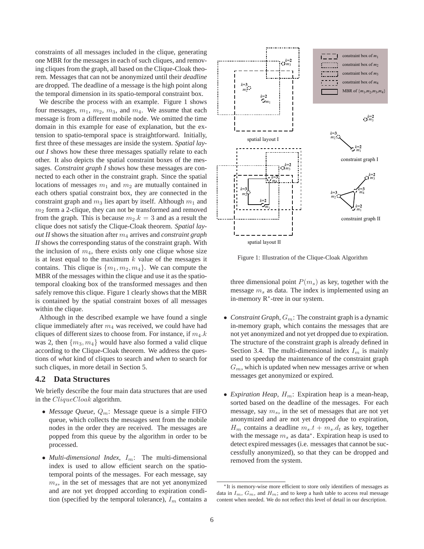constraints of all messages included in the clique, generating one MBR for the messages in each of such cliques, and removing cliques from the graph, all based on the Clique-Cloak theorem. Messages that can not be anonymized until their *deadline* are dropped. The deadline of a message is the high point along the temporal dimension in its spatio-temporal constraint box.

We describe the process with an example. Figure 1 shows four messages,  $m_1$ ,  $m_2$ ,  $m_3$ , and  $m_4$ . We assume that each message is from a different mobile node. We omitted the time domain in this example for ease of explanation, but the extension to spatio-temporal space is straightforward. Initially, first three of these messages are inside the system. *Spatial layout I* shows how these three messages spatially relate to each other. It also depicts the spatial constraint boxes of the messages. *Constraint graph I* shows how these messages are connected to each other in the constraint graph. Since the spatial locations of messages  $m_1$  and  $m_2$  are mutually contained in each others spatial constraint box, they are connected in the constraint graph and  $m_3$  lies apart by itself. Although  $m_1$  and  $m<sub>2</sub>$  form a 2-clique, they can not be transformed and removed from the graph. This is because  $m_2.k = 3$  and as a result the clique does not satisfy the Clique-Cloak theorem. *Spatial layout II* shows the situation after  $m_4$  arrives and *constraint graph II* shows the corresponding status of the constraint graph. With the inclusion of  $m_4$ , there exists only one clique whose size is at least equal to the maximum  $k$  value of the messages it contains. This clique is  $\{m_1, m_2, m_4\}$ . We can compute the MBR of the messages within the clique and use it as the spatiotemporal cloaking box of the transformed messages and then safely remove this clique. Figure 1 clearly shows that the MBR is contained by the spatial constraint boxes of all messages within the clique.

Although in the described example we have found a single clique immediately after  $m_4$  was received, we could have had cliques of different sizes to choose from. For instance, if  $m_4.k$ was 2, then  $\{m_3, m_4\}$  would have also formed a valid clique according to the Clique-Cloak theorem. We address the questions of *what* kind of cliques to search and *when* to search for such cliques, in more detail in Section 5.

### **4.2 Data Structures**

We briefly describe the four main data structures that are used in the *CliqueCloak* algorithm.

- *Message Queue*, Q*m*: Message queue is a simple FIFO queue, which collects the messages sent from the mobile nodes in the order they are received. The messages are popped from this queue by the algorithm in order to be processed.
- *Multi-dimensional Index*, I*m*: The multi-dimensional index is used to allow efficient search on the spatiotemporal points of the messages. For each message, say m*s*, in the set of messages that are not yet anonymized and are not yet dropped according to expiration condition (specified by the temporal tolerance),  $I_m$  contains a



Figure 1: Illustration of the Clique-Cloak Algorithm

three dimensional point  $P(m_s)$  as key, together with the message m*<sup>s</sup>* as data. The index is implemented using an in-memory R<sup>∗</sup>-tree in our system.

- *Constraint Graph*,  $G_m$ : The constraint graph is a dynamic in-memory graph, which contains the messages that are not yet anonymized and not yet dropped due to expiration. The structure of the constraint graph is already defined in Section 3.4. The multi-dimensional index  $I_m$  is mainly used to speedup the maintenance of the constraint graph  $G_m$ , which is updated when new messages arrive or when messages get anonymized or expired.
- *Expiration Heap*, H*m*: Expiration heap is a mean-heap, sorted based on the deadline of the messages. For each message, say m*s*, in the set of messages that are not yet anonymized and are not yet dropped due to expiration,  $H_m$  contains a deadline  $m_s.t + m_s.d_t$  as key, together with the message m*<sup>s</sup>* as data<sup>∗</sup>. Expiration heap is used to detect expired messages (i.e. messages that cannot be successfully anonymized), so that they can be dropped and removed from the system.

<sup>∗</sup>It is memory-wise more efficient to store only identifiers of messages as data in  $I_m$ ,  $G_m$ , and  $H_m$ ; and to keep a hash table to access real message content when needed. We do not reflect this level of detail in our description.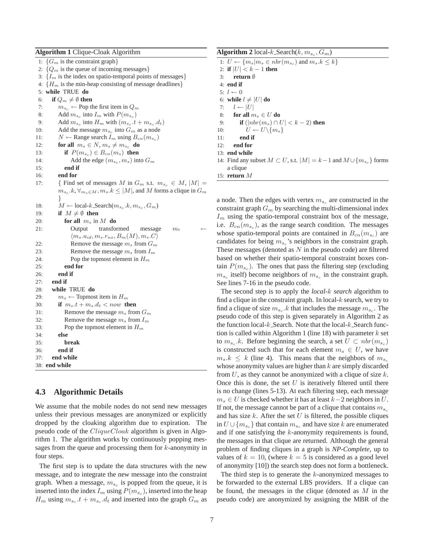#### **Algorithm 1** Clique-Cloak Algorithm

1:  ${G<sub>m</sub>}$  is the constraint graph 2:  $\{Q_m$  is the queue of incoming messages} 3:  ${I_m}$  is the index on spatio-temporal points of messages} 4:  ${H_m}$  is the min-heap consisting of message deadlines} 5: **while** TRUE **do** 6: **if**  $Q_m \neq \emptyset$  then 7:  $m_{s_c} \leftarrow$  Pop the first item in  $Q_m$ 8: Add  $m_{s_c}$  into  $I_m$  with  $P(m_{s_c})$ 9: Add  $m_{s_c}$  into  $H_m$  with  $(m_{s_c}.t + m_{s_c}.d_t)$ 10: Add the message  $m_{s_c}$  into  $G_m$  as a node 11:  $N \leftarrow$  Range search  $I_m$  using  $B_{cn}(m_{s_c})$ 12: **for all**  $m_s \in N$ ,  $m_s \neq m_{s_c}$  **do** 13: **if**  $P(m_{s_c}) \in B_{cn}(m_s)$  then 14: Add the edge  $(m_{s_c}, m_s)$  into  $G_m$ 15: **end if** 16: **end for** 17: { Find set of messages *M* in  $G_m$  s.t.  $m_{s_c} \in M$ ,  $|M|$  =  $m_{s_c}$ *k*,  $\forall_{m_s \in M}, m_s$ *.k*  $\leq |M|$ , and *M* forms a clique in  $G_m$ } 18:  $M \leftarrow \text{local-}k\text{.Search}(m_{s_c}, k, m_{s_c}, G_m)$ 19: **if**  $M \neq \emptyset$  then 20: **for all** *m<sup>s</sup>* in *M* **do** 21: Output transformed message  $m_t$  $\langle m_s.u_{id}, m_s.r_{no}, B_m(M), m_s.C \rangle$ 22: Remove the message *m<sup>s</sup>* from *G<sup>m</sup>* 23: Remove the message *m<sup>s</sup>* from *I<sup>m</sup>* 24: Pop the topmost element in *H<sup>m</sup>* 25: **end for** 26: **end if** 27: **end if** 28: **while** TRUE **do** 29:  $m_s \leftarrow$  Topmost item in  $H_m$ 30: **if**  $m_s.t + m_s.d_t < now$  then 31: Remove the message *m<sup>s</sup>* from *G<sup>m</sup>* 32: Remove the message *m<sup>s</sup>* from *I<sup>m</sup>* 33: Pop the topmost element in *H<sup>m</sup>* 34: **else** 35: **break** 36: **end if** 37: **end while** 38: **end while**

#### **4.3 Algorithmic Details**

We assume that the mobile nodes do not send new messages unless their previous messages are anonymized or explicitly dropped by the cloaking algorithm due to expiration. The pseudo code of the *CliqueCloak* algorithm is given in Algorithm 1. The algorithm works by continuously popping messages from the queue and processing them for  $k$ -anonymity in four steps.

The first step is to update the data structures with the new message, and to integrate the new message into the constraint graph. When a message,  $m_{s_c}$  is popped from the queue, it is inserted into the index  $I_m$  using  $P(m_{s_c})$ , inserted into the heap  $H_m$  using  $m_{s_c}t + m_{s_c}d_t$  and inserted into the graph  $G_m$  as **Algorithm 2** local-k\_Search(k,  $m_{s_c}$ ,  $G_m$ )

|     | 1: $U \leftarrow \{m_s m_s \in nbr(m_{s_c}) \text{ and } m_s.k \leq k\}$               |
|-----|----------------------------------------------------------------------------------------|
|     | 2: if $ U  < k - 1$ then                                                               |
|     | 3: return $\emptyset$                                                                  |
|     | $4:$ end if                                                                            |
|     | $5: l \leftarrow 0$                                                                    |
|     | 6: while $l \neq  U $ do                                                               |
|     | 7: $l \leftarrow  U $                                                                  |
|     | 8: for all $m_s \in U$ do                                                              |
|     | 9: <b>if</b> $( nbr(m_s) \cap U  < k - 2)$ then                                        |
|     | 10: $U \leftarrow U \setminus \{m_s\}$                                                 |
| 11: | end if                                                                                 |
|     | $12:$ end for                                                                          |
|     | 13: end while                                                                          |
|     | 14: Find any subset $M \subset U$ , s.t. $ M  = k - 1$ and $M \cup \{m_{s_c}\}\$ forms |
|     | a clique                                                                               |
|     | 15: return $M$                                                                         |

a node. Then the edges with vertex  $m_{s_c}$  are constructed in the constraint graph G*<sup>m</sup>* by searching the multi-dimensional index  $I_m$  using the spatio-temporal constraint box of the message, i.e.  $B_{cn}(m_{s_c})$ , as the range search condition. The messages whose spatio-temporal points are contained in  $B_{cn}(m_{s_c})$  are candidates for being m*<sup>s</sup><sup>c</sup>* 's neighbors in the constraint graph. These messages (denoted as  $N$  in the pseudo code) are filtered based on whether their spatio-temporal constraint boxes contain  $P(m_{s_c})$ . The ones that pass the filtering step (excluding  $m_{s_c}$  itself) become neighbors of  $m_{s_c}$  in the constraint graph. See lines 7-16 in the pseudo code.

The second step is to apply the *local-*k *search* algorithm to find a clique in the constraint graph. In local- $k$  search, we try to find a clique of size  $m_{s_c}$  k that includes the message  $m_{s_c}$ . The pseudo code of this step is given separately in Algorithm 2 as the function local- $k$ -Search. Note that the local- $k$ -Search function is called within Algorithm 1 (line 18) with parameter  $k$  set to  $m_{s_c}$  k. Before beginning the search, a set  $U \subset \text{nbr}(m_{s_c})$ is constructed such that for each element  $m_s \in U$ , we have  $m_s$ . $k \leq k$  (line 4). This means that the neighbors of  $m_{s_c}$ whose anonymity values are higher than  $k$  are simply discarded from  $U$ , as they cannot be anonymized with a clique of size  $k$ . Once this is done, the set  $U$  is iteratively filtered until there is no change (lines 5-13). At each filtering step, each message  $m<sub>s</sub> ∈ U$  is checked whether it has at least  $k-2$  neighbors in  $U$ . If not, the message cannot be part of a clique that contains  $m_{s_c}$ and has size  $k$ . After the set  $U$  is filtered, the possible cliques in  $U ∪ \{m_{s_c}\}\$  that contain  $m_{s_c}$  and have size k are enumerated and if one satisfying the k-anonymity requirements is found, the messages in that clique are returned. Although the general problem of finding cliques in a graph is *NP-Complete*, up to values of  $k = 10$ , (where  $k = 5$  is considered as a good level of anonymity [10]) the search step does not form a bottleneck.

The third step is to generate the  $k$ -anonymized messages to be forwarded to the external LBS providers. If a clique can be found, the messages in the clique (denoted as  $M$  in the pseudo code) are anonymized by assigning the MBR of the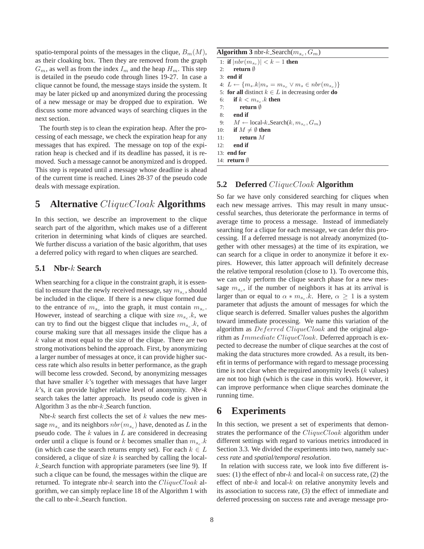spatio-temporal points of the messages in the clique,  $B_m(M)$ , as their cloaking box. Then they are removed from the graph  $G_m$ , as well as from the index  $I_m$  and the heap  $H_m$ . This step is detailed in the pseudo code through lines 19-27. In case a clique cannot be found, the message stays inside the system. It may be later picked up and anonymized during the processing of a new message or may be dropped due to expiration. We discuss some more advanced ways of searching cliques in the next section.

The fourth step is to clean the expiration heap. After the processing of each message, we check the expiration heap for any messages that has expired. The message on top of the expiration heap is checked and if its deadline has passed, it is removed. Such a message cannot be anonymized and is dropped. This step is repeated until a message whose deadline is ahead of the current time is reached. Lines 28-37 of the pseudo code deals with message expiration.

## **5 Alternative** *CliqueCloak* **Algorithms**

In this section, we describe an improvement to the clique search part of the algorithm, which makes use of a different criterion in determining what kinds of cliques are searched. We further discuss a variation of the basic algorithm, that uses a deferred policy with regard to when cliques are searched.

### **5.1 Nbr-***k* **Search**

When searching for a clique in the constraint graph, it is essential to ensure that the newly received message, say  $m_{s_c}$ , should be included in the clique. If there is a new clique formed due to the entrance of  $m_{s_c}$  into the graph, it must contain  $m_{s_c}$ . However, instead of searching a clique with size  $m_{s_c}$   $k$ , we can try to find out the biggest clique that includes  $m_{s_c}$   $k$ , of course making sure that all messages inside the clique has a  $k$  value at most equal to the size of the clique. There are two strong motivations behind the approach. First, by anonymizing a larger number of messages at once, it can provide higher success rate which also results in better performance, as the graph will become less crowded. Second, by anonymizing messages that have smaller  $k$ 's together with messages that have larger k's, it can provide higher relative level of anonymity. *Nbr-k* search takes the latter approach. Its pseudo code is given in Algorithm 3 as the nbr- $k$ -Search function.

Nbr- $k$  search first collects the set of  $k$  values the new message  $m_{s_c}$  and its neighbors  $nbr(m_{s_c})$  have, denoted as L in the pseudo code. The  $k$  values in  $L$  are considered in decreasing order until a clique is found or k becomes smaller than  $m_{s_c}$ .k (in which case the search returns empty set). For each  $k \in L$ considered, a clique of size  $k$  is searched by calling the localk Search function with appropriate parameters (see line 9). If such a clique can be found, the messages within the clique are returned. To integrate nbr-k search into the  $CliqueClock$  algorithm, we can simply replace line 18 of the Algorithm 1 with the call to nbr- $k$ . Search function.

| <b>Algorithm 3</b> nbr-k Search $(m_{s_c}, G_m)$ |                                                                     |  |
|--------------------------------------------------|---------------------------------------------------------------------|--|
|                                                  | 1: if $ nbr(m_{s_c})  < k - 1$ then                                 |  |
| 2.5                                              | return $\emptyset$                                                  |  |
|                                                  | $3:$ end if                                                         |  |
|                                                  | 4: $L \leftarrow \{m_s.k m_s = m_{s_c} \vee m_s \in nbr(m_{s_c})\}$ |  |
|                                                  | 5: for all distinct $k \in L$ in decreasing order do                |  |
| 6:                                               | if $k < m_{s_c}$ . k then                                           |  |
|                                                  | return $\emptyset$<br>7:                                            |  |
|                                                  | $8:$ end if                                                         |  |
|                                                  | 9: $M \leftarrow \text{local-}k\text{-Search}(k, m_{sc}, G_m)$      |  |
|                                                  | 10: if $M \neq \emptyset$ then                                      |  |
| 11:                                              | return $M$                                                          |  |
| 12.                                              | end if                                                              |  |
|                                                  | $13:$ end for                                                       |  |
|                                                  | 14: return $\emptyset$                                              |  |

### **5.2 Deferred** *CliqueCloak* **Algorithm**

So far we have only considered searching for cliques when each new message arrives. This may result in many unsuccessful searches, thus deteriorate the performance in terms of average time to process a message. Instead of immediately searching for a clique for each message, we can defer this processing. If a deferred message is not already anonymized (together with other messages) at the time of its expiration, we can search for a clique in order to anonymize it before it expires. However, this latter approach will definitely decrease the relative temporal resolution (close to 1). To overcome this, we can only perform the clique search phase for a new message  $m_{s_c}$ , if the number of neighbors it has at its arrival is larger than or equal to  $\alpha * m_{s_c}$ *k*. Here,  $\alpha \geq 1$  is a system parameter that adjusts the amount of messages for which the clique search is deferred. Smaller values pushes the algorithm toward immediate processing. We name this variation of the algorithm as Deferred CliqueCloak and the original algorithm as *Immediate CliqueCloak*. Deferred approach is expected to decrease the number of clique searches at the cost of making the data structures more crowded. As a result, its benefit in terms of performance with regard to message processing time is not clear when the required anonymity levels  $(k$  values) are not too high (which is the case in this work). However, it can improve performance when clique searches dominate the running time.

## **6 Experiments**

In this section, we present a set of experiments that demonstrates the performance of the CliqueCloak algorithm under different settings with regard to various metrics introduced in Section 3.3. We divided the experiments into two, namely *success rate* and *spatial/temporal resolution*.

In relation with success rate, we look into five different issues: (1) the effect of nbr-k and local-k on success rate, (2) the effect of nbr-k and local-k on relative anonymity levels and its association to success rate, (3) the effect of immediate and deferred processing on success rate and average message pro-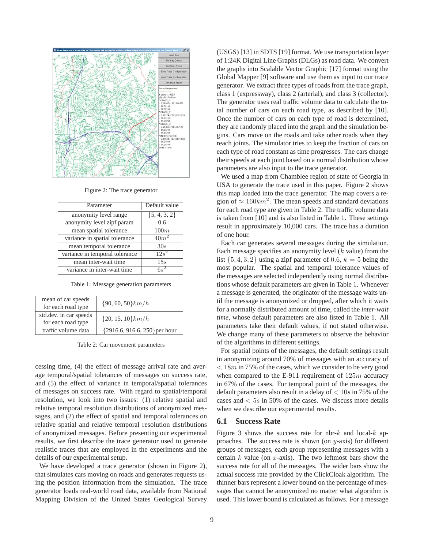

Figure 2: The trace generator

| Parameter                      | Default value    |
|--------------------------------|------------------|
| anonymity level range          | ${5, 4, 3, 2}$   |
| anonymity level zipf param     | 0.6              |
| mean spatial tolerance         | 100m             |
| variance in spatial tolerance  | $40m^2$          |
| mean temporal tolerance        | 30s              |
| variance in temporal tolerance | $12s^2$          |
| mean inter-wait time           | 15s              |
| variance in inter-wait time    | 6 e <sup>2</sup> |

Table 1: Message generation parameters

| mean of car speeds<br>for each road type     | $\{90, 60, 50\}$ km/h           |
|----------------------------------------------|---------------------------------|
| std.dev. in car speeds<br>for each road type | $\{20, 15, 10\}$ km/h           |
| traffic volume data                          | ${2916.6, 916.6, 250}$ per hour |

Table 2: Car movement parameters

cessing time, (4) the effect of message arrival rate and average temporal/spatial tolerances of messages on success rate, and (5) the effect of variance in temporal/spatial tolerances of messages on success rate. With regard to spatial/temporal resolution, we look into two issues: (1) relative spatial and relative temporal resolution distributions of anonymized messages, and (2) the effect of spatial and temporal tolerances on relative spatial and relative temporal resolution distributions of anonymized messages. Before presenting our experimental results, we first describe the trace generator used to generate realistic traces that are employed in the experiments and the details of our experimental setup.

We have developed a trace generator (shown in Figure 2), that simulates cars moving on roads and generates requests using the position information from the simulation. The trace generator loads real-world road data, available from National Mapping Division of the United States Geological Survey

(USGS) [13] in SDTS [19] format. We use transportation layer of 1:24K Digital Line Graphs (DLGs) as road data. We convert the graphs into Scalable Vector Graphic [17] format using the Global Mapper [9] software and use them as input to our trace generator. We extract three types of roads from the trace graph, class 1 (expressway), class 2 (arterial), and class 3 (collector). The generator uses real traffic volume data to calculate the total number of cars on each road type, as described by [10]. Once the number of cars on each type of road is determined, they are randomly placed into the graph and the simulation begins. Cars move on the roads and take other roads when they reach joints. The simulator tries to keep the fraction of cars on each type of road constant as time progresses. The cars change their speeds at each joint based on a normal distribution whose parameters are also input to the trace generator.

We used a map from Chamblee region of state of Georgia in USA to generate the trace used in this paper. Figure 2 shows this map loaded into the trace generator. The map covers a region of  $\approx 160 km^2$ . The mean speeds and standard deviations for each road type are given in Table 2. The traffic volume data is taken from [10] and is also listed in Table 1. These settings result in approximately 10,000 cars. The trace has a duration of one hour.

Each car generates several messages during the simulation. Each message specifies an anonymity level  $(k$  value) from the list  $\{5, 4, 3, 2\}$  using a zipf parameter of 0.6,  $k = 5$  being the most popular. The spatial and temporal tolerance values of the messages are selected independently using normal distributions whose default parameters are given in Table 1. Whenever a message is generated, the originator of the message waits until the message is anonymized or dropped, after which it waits for a normally distributed amount of time, called the *inter-wait time*, whose default parameters are also listed in Table 1. All parameters take their default values, if not stated otherwise. We change many of these parameters to observe the behavior of the algorithms in different settings.

For spatial points of the messages, the default settings result in anonymizing around 70% of messages with an accuracy of  $< 18m$  in 75% of the cases, which we consider to be very good when compared to the E-911 requirement of  $125m$  accuracy in 67% of the cases. For temporal point of the messages, the default parameters also result in a delay of  $< 10s$  in 75% of the cases and  $\lt$  5s in 50% of the cases. We discuss more details when we describe our experimental results.

#### **6.1 Success Rate**

Figure 3 shows the success rate for nbr- $k$  and local- $k$  approaches. The success rate is shown (on  $y$ -axis) for different groups of messages, each group representing messages with a certain  $k$  value (on  $x$ -axis). The two leftmost bars show the success rate for all of the messages. The wider bars show the actual success rate provided by the ClickCloak algorithm. The thinner bars represent a lower bound on the percentage of messages that cannot be anonymized no matter what algorithm is used. This lower bound is calculated as follows. For a message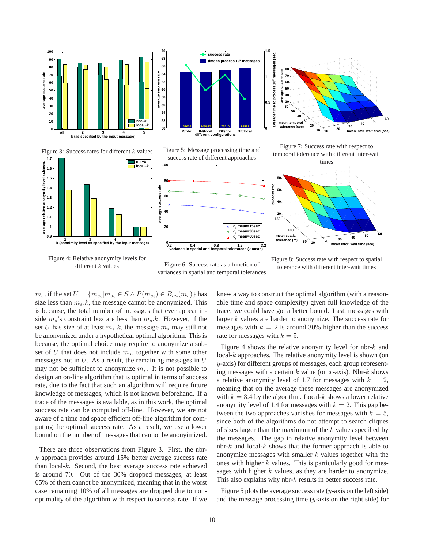





Figure 7: Success rate with respect to temporal tolerance with different inter-wait times

Figure 3: Success rates for different *k* values **1.7 nbr−***k*



Figure 4: Relative anonymity levels for different *k* values







Figure 6: Success rate as a function of variances in spatial and temporal tolerances

tolerance with different inter-wait times

 $m_s$ , if the set  $U = \{m_{s_i} | m_{s_i} \in S \land P(m_{s_i}) \in B_{cn}(m_s)\}\$ has size less than  $m_s.k$ , the message cannot be anonymized. This is because, the total number of messages that ever appear inside  $m_s$ 's constraint box are less than  $m_s.k$ . However, if the set U has size of at least  $m_s.k$ , the message  $m_s$  may still not be anonymized under a hypothetical optimal algorithm. This is because, the optimal choice may require to anonymize a subset of U that does not include m*s*, together with some other messages not in  $U$ . As a result, the remaining messages in  $U$ may not be sufficient to anonymize m*s*. It is not possible to design an on-line algorithm that is optimal in terms of success rate, due to the fact that such an algorithm will require future knowledge of messages, which is not known beforehand. If a trace of the messages is available, as in this work, the optimal success rate can be computed off-line. However, we are not aware of a time and space efficient off-line algorithm for computing the optimal success rate. As a result, we use a lower bound on the number of messages that cannot be anonyimized.

There are three observations from Figure 3. First, the nbr $k$  approach provides around 15% better average success rate than local-k. Second, the best average success rate achieved is around 70. Out of the 30% dropped messages, at least 65% of them cannot be anonymized, meaning that in the worst case remaining 10% of all messages are dropped due to nonoptimality of the algorithm with respect to success rate. If we

knew a way to construct the optimal algorithm (with a reasonable time and space complexity) given full knowledge of the trace, we could have got a better bound. Last, messages with larger  $k$  values are harder to anonymize. The success rate for messages with  $k = 2$  is around 30% higher than the success rate for messages with  $k = 5$ .

**50**

**100**

**mean spatial tolerance (m)**

**success rate**

success rate

Figure 4 shows the relative anonymity level for nbr- $k$  and  $\text{local-}k$  approaches. The relative anonymity level is shown (on y-axis) for different groups of messages, each group representing messages with a certain  $k$  value (on  $x$ -axis). Nbr- $k$  shows a relative anonymity level of 1.7 for messages with  $k = 2$ , meaning that on the average these messages are anonymized with  $k = 3.4$  by the algorithm. Local-k shows a lower relative anonymity level of 1.4 for messages with  $k = 2$ . This gap between the two approaches vanishes for messages with  $k = 5$ , since both of the algorithms do not attempt to search cliques of sizes larger than the maximum of the  $k$  values specified by the messages. The gap in relative anonymity level between nbr- $k$  and local- $k$  shows that the former approach is able to anonymize messages with smaller  $k$  values together with the ones with higher  $k$  values. This is particularly good for messages with higher  $k$  values, as they are harder to anonymize. This also explains why nbr- $k$  results in better success rate.

Figure 5 plots the average success rate  $(y\text{-axis on the left side})$ and the message processing time  $(y\text{-axis on the right side})$  for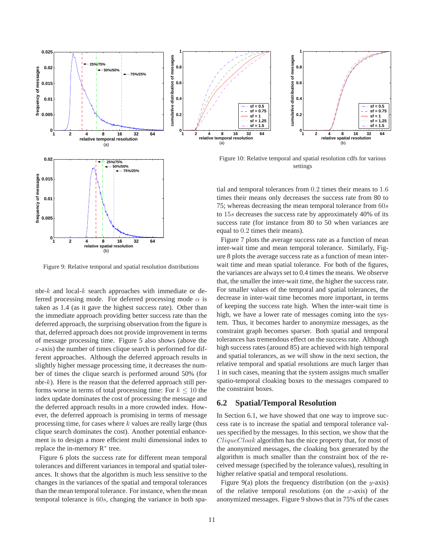

Figure 9: Relative temporal and spatial resolution distributions

nbr- $k$  and local- $k$  search approaches with immediate or deferred processing mode. For deferred processing mode  $\alpha$  is taken as 1.4 (as it gave the highest success rate). Other than the immediate approach providing better success rate than the deferred approach, the surprising observation from the figure is that, deferred approach does not provide improvement in terms of message processing time. Figure 5 also shows (above the  $x$ -axis) the number of times clique search is performed for different approaches. Although the deferred approach results in slightly higher message processing time, it decreases the number of times the clique search is performed around 50% (for nbr- $k$ ). Here is the reason that the deferred approach still performs worse in terms of total processing time: For  $k \leq 10$  the index update dominates the cost of processing the message and the deferred approach results in a more crowded index. However, the deferred approach is promising in terms of message processing time, for cases where  $k$  values are really large (thus clique search dominates the cost). Another potential enhancement is to design a more efficient multi dimensional index to replace the in-memory  $R^*$  tree.

Figure 6 plots the success rate for different mean temporal tolerances and different variances in temporal and spatial tolerances. It shows that the algorithm is much less sensitive to the changes in the variances of the spatial and temporal tolerances than the mean temporal tolerance. For instance, when the mean temporal tolerance is 60s, changing the variance in both spa-



Figure 10: Relative temporal and spatial resolution cdfs for various settings

**sf = 0.5 sf = 0.75 sf = 1 sf = 1.25 sf = 1.5**

tial and temporal tolerances from 0.2 times their means to 1.6 times their means only decreases the success rate from 80 to 75; whereas decreasing the mean temporal tolerance from  $60s$ to 15s decreases the success rate by approximately 40% of its success rate (for instance from 80 to 50 when variances are equal to 0.2 times their means).

Figure 7 plots the average success rate as a function of mean inter-wait time and mean temporal tolerance. Similarly, Figure 8 plots the average success rate as a function of mean interwait time and mean spatial tolerance. For both of the figures, the variances are always set to 0.4 times the means. We observe that, the smaller the inter-wait time, the higher the success rate. For smaller values of the temporal and spatial tolerances, the decrease in inter-wait time becomes more important, in terms of keeping the success rate high. When the inter-wait time is high, we have a lower rate of messages coming into the system. Thus, it becomes harder to anonymize messages, as the constraint graph becomes sparser. Both spatial and temporal tolerances has tremendous effect on the success rate. Although high success rates (around 85) are achieved with high temporal and spatial tolerances, as we will show in the next section, the relative temporal and spatial resolutions are much larger than 1 in such cases, meaning that the system assigns much smaller spatio-temporal cloaking boxes to the messages compared to the constraint boxes.

### **6.2 Spatial/Temporal Resolution**

In Section 6.1, we have showed that one way to improve success rate is to increase the spatial and temporal tolerance values specified by the messages. In this section, we show that the CliqueCloak algorithm has the nice property that, for most of the anonymized messages, the cloaking box generated by the algorithm is much smaller than the constraint box of the received message (specified by the tolerance values), resulting in higher relative spatial and temporal resolutions.

Figure 9(a) plots the frequency distribution (on the y-axis) of the relative temporal resolutions (on the  $x$ -axis) of the anonymized messages. Figure 9 shows that in 75% of the cases